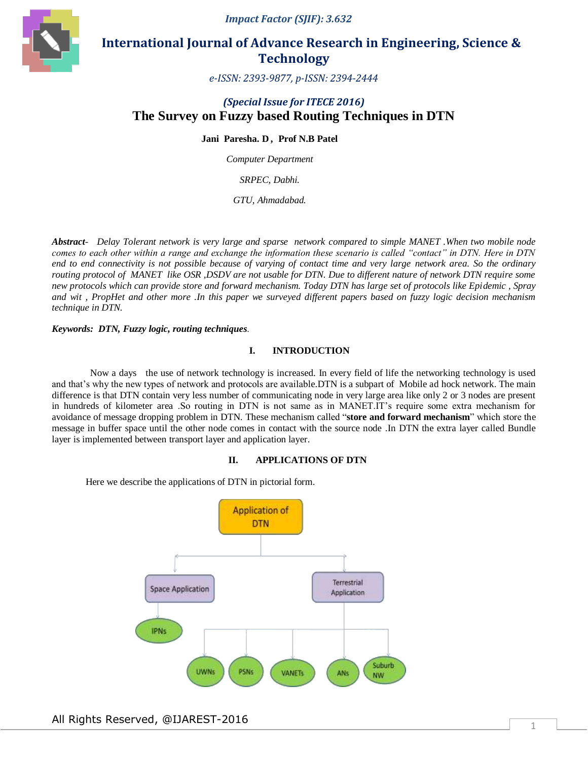*Impact Factor (SJIF): 3.632*



# **International Journal of Advance Research in Engineering, Science & Technology**

*e-ISSN: 2393-9877, p-ISSN: 2394-2444*

# *(Special Issue for ITECE 2016)* **The Survey on Fuzzy based Routing Techniques in DTN**

**Jani Paresha. D** *,* **Prof N.B Patel**

*Computer Department*

*SRPEC, Dabhi.*

*GTU, Ahmadabad.*

*Abstract- Delay Tolerant network is very large and sparse network compared to simple MANET .When two mobile node comes to each other within a range and exchange the information these scenario is called "contact" in DTN. Here in DTN end to end connectivity is not possible because of varying of contact time and very large network area. So the ordinary routing protocol of MANET like OSR ,DSDV are not usable for DTN. Due to different nature of network DTN require some new protocols which can provide store and forward mechanism. Today DTN has large set of protocols like Epidemic , Spray and wit , PropHet and other more .In this paper we surveyed different papers based on fuzzy logic decision mechanism technique in DTN.*

#### *Keywords: DTN, Fuzzy logic, routing techniques.*

# **I. INTRODUCTION**

 Now a days the use of network technology is increased. In every field of life the networking technology is used and that's why the new types of network and protocols are available.DTN is a subpart of Mobile ad hock network. The main difference is that DTN contain very less number of communicating node in very large area like only 2 or 3 nodes are present in hundreds of kilometer area .So routing in DTN is not same as in MANET.IT's require some extra mechanism for avoidance of message dropping problem in DTN. These mechanism called "**store and forward mechanism**" which store the message in buffer space until the other node comes in contact with the source node .In DTN the extra layer called Bundle layer is implemented between transport layer and application layer.

#### **II. APPLICATIONS OF DTN**

Here we describe the applications of DTN in pictorial form.

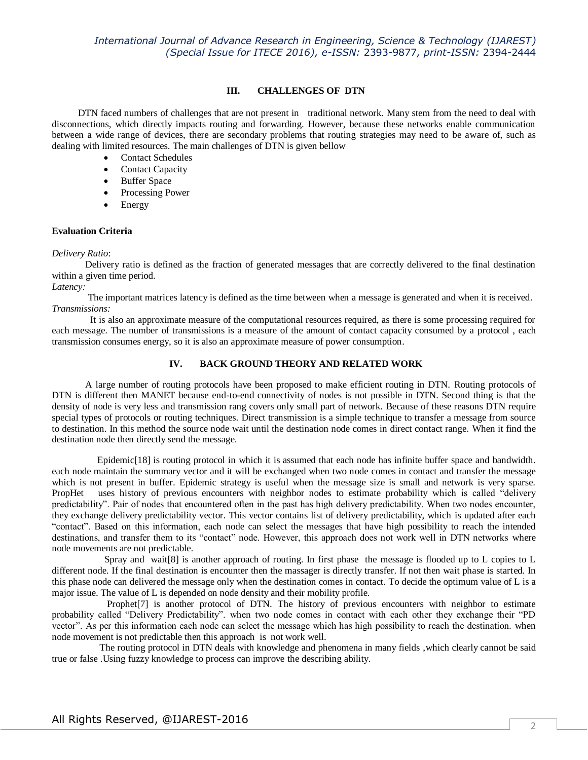### **III. CHALLENGES OF DTN**

 DTN faced numbers of challenges that are not present in traditional network. Many stem from the need to deal with disconnections, which directly impacts routing and forwarding. However, because these networks enable communication between a wide range of devices, there are secondary problems that routing strategies may need to be aware of, such as dealing with limited resources. The main challenges of DTN is given bellow

- Contact Schedules
- Contact Capacity
- Buffer Space
- Processing Power
- Energy

## **Evaluation Criteria**

## *Delivery Ratio*:

 Delivery ratio is defined as the fraction of generated messages that are correctly delivered to the final destination within a given time period.

*Latency:*

 The important matrices latency is defined as the time between when a message is generated and when it is received. *Transmissions:*

 It is also an approximate measure of the computational resources required, as there is some processing required for each message. The number of transmissions is a measure of the amount of contact capacity consumed by a protocol , each transmission consumes energy, so it is also an approximate measure of power consumption.

# **IV. BACK GROUND THEORY AND RELATED WORK**

 A large number of routing protocols have been proposed to make efficient routing in DTN. Routing protocols of DTN is different then MANET because end-to-end connectivity of nodes is not possible in DTN. Second thing is that the density of node is very less and transmission rang covers only small part of network. Because of these reasons DTN require special types of protocols or routing techniques. Direct transmission is a simple technique to transfer a message from source to destination. In this method the source node wait until the destination node comes in direct contact range. When it find the destination node then directly send the message.

 Epidemic[18] is routing protocol in which it is assumed that each node has infinite buffer space and bandwidth. each node maintain the summary vector and it will be exchanged when two node comes in contact and transfer the message which is not present in buffer. Epidemic strategy is useful when the message size is small and network is very sparse. PropHet uses history of previous encounters with neighbor nodes to estimate probability which is called "delivery predictability". Pair of nodes that encountered often in the past has high delivery predictability. When two nodes encounter, they exchange delivery predictability vector. This vector contains list of delivery predictability, which is updated after each "contact". Based on this information, each node can select the messages that have high possibility to reach the intended destinations, and transfer them to its "contact" node. However, this approach does not work well in DTN networks where node movements are not predictable.

 Spray and wait[8] is another approach of routing. In first phase the message is flooded up to L copies to L different node. If the final destination is encounter then the massager is directly transfer. If not then wait phase is started. In this phase node can delivered the message only when the destination comes in contact. To decide the optimum value of L is a major issue. The value of L is depended on node density and their mobility profile.

Prophet<sup>[7]</sup> is another protocol of DTN. The history of previous encounters with neighbor to estimate probability called "Delivery Predictability". when two node comes in contact with each other they exchange their "PD vector". As per this information each node can select the message which has high possibility to reach the destination. when node movement is not predictable then this approach is not work well.

 The routing protocol in DTN deals with knowledge and phenomena in many fields ,which clearly cannot be said true or false .Using fuzzy knowledge to process can improve the describing ability.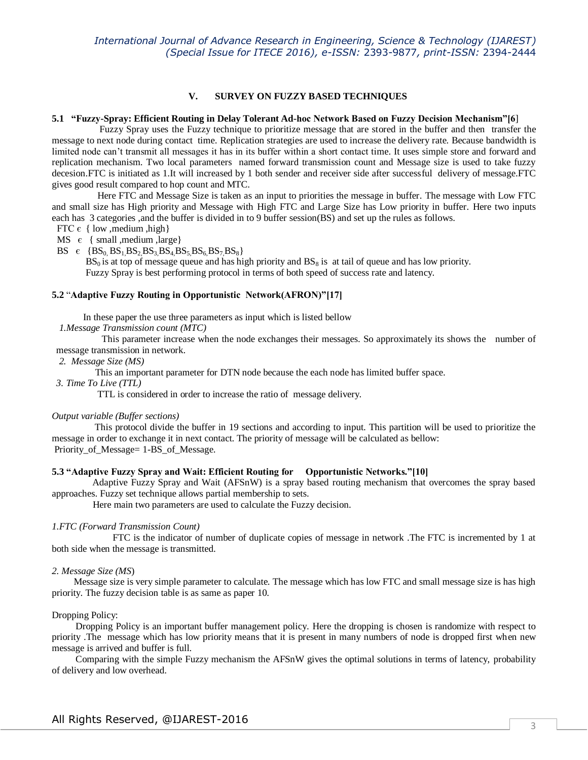## **V. SURVEY ON FUZZY BASED TECHNIQUES**

#### **5.1 "Fuzzy-Spray: Efficient Routing in Delay Tolerant Ad-hoc Network Based on Fuzzy Decision Mechanism"[6**]

 Fuzzy Spray uses the Fuzzy technique to prioritize message that are stored in the buffer and then transfer the message to next node during contact time. Replication strategies are used to increase the delivery rate. Because bandwidth is limited node can't transmit all messages it has in its buffer within a short contact time. It uses simple store and forward and replication mechanism. Two local parameters named forward transmission count and Message size is used to take fuzzy decesion.FTC is initiated as 1.It will increased by 1 both sender and receiver side after successful delivery of message.FTC gives good result compared to hop count and MTC.

 Here FTC and Message Size is taken as an input to priorities the message in buffer. The message with Low FTC and small size has High priority and Message with High FTC and Large Size has Low priority in buffer. Here two inputs each has 3 categories ,and the buffer is divided in to 9 buffer session(BS) and set up the rules as follows.

FTC  $\epsilon$  { low , medium , high }

MS  $\epsilon$  { small , medium , large}

BS  $\epsilon$  {BS<sub>0</sub> BS<sub>1</sub> BS<sub>2</sub> BS<sub>3</sub>,BS<sub>4</sub> BS<sub>5</sub> BS<sub>6</sub> BS<sub>7</sub> BS<sub>8</sub>}

 $BS_0$  is at top of message queue and has high priority and  $BS_8$  is at tail of queue and has low priority. Fuzzy Spray is best performing protocol in terms of both speed of success rate and latency.

#### **5.2** "**Adaptive Fuzzy Routing in Opportunistic Network(AFRON)"[17]**

In these paper the use three parameters as input which is listed bellow

 *1.Message Transmission count (MTC)* 

 This parameter increase when the node exchanges their messages. So approximately its shows the number of message transmission in network.

 *2. Message Size (MS)*

This an important parameter for DTN node because the each node has limited buffer space.

*3. Time To Live (TTL)*

TTL is considered in order to increase the ratio of message delivery.

#### *Output variable (Buffer sections)*

 This protocol divide the buffer in 19 sections and according to input. This partition will be used to prioritize the message in order to exchange it in next contact. The priority of message will be calculated as bellow: Priority of Message= 1-BS of Message.

#### **5.3 "Adaptive Fuzzy Spray and Wait: Efficient Routing for Opportunistic Networks."[10]**

 Adaptive Fuzzy Spray and Wait (AFSnW) is a spray based routing mechanism that overcomes the spray based approaches. Fuzzy set technique allows partial membership to sets.

Here main two parameters are used to calculate the Fuzzy decision.

#### *1.FTC (Forward Transmission Count)*

 FTC is the indicator of number of duplicate copies of message in network .The FTC is incremented by 1 at both side when the message is transmitted.

#### *2. Message Size (MS*)

 Message size is very simple parameter to calculate. The message which has low FTC and small message size is has high priority. The fuzzy decision table is as same as paper 10.

#### Dropping Policy:

 Dropping Policy is an important buffer management policy. Here the dropping is chosen is randomize with respect to priority .The message which has low priority means that it is present in many numbers of node is dropped first when new message is arrived and buffer is full.

 Comparing with the simple Fuzzy mechanism the AFSnW gives the optimal solutions in terms of latency, probability of delivery and low overhead.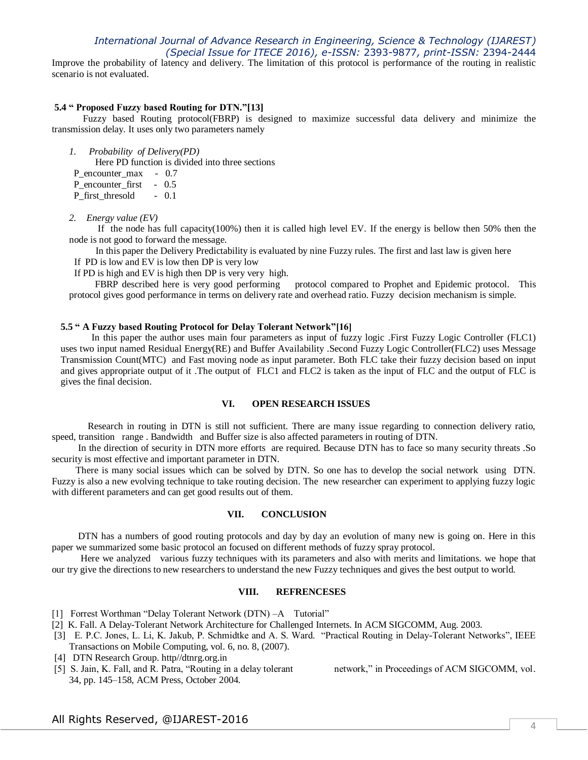Improve the probability of latency and delivery. The limitation of this protocol is performance of the routing in realistic scenario is not evaluated.

#### **5.4 " Proposed Fuzzy based Routing for DTN."[13]**

 Fuzzy based Routing protocol(FBRP) is designed to maximize successful data delivery and minimize the transmission delay. It uses only two parameters namely

*1. Probability of Delivery(PD)*

Here PD function is divided into three sections

P\_encounter\_max - 0.7

P encounter first - 0.5

P\_first\_thresold - 0.1

*2. Energy value (EV)*

 If the node has full capacity(100%) then it is called high level EV. If the energy is bellow then 50% then the node is not good to forward the message.

 In this paper the Delivery Predictability is evaluated by nine Fuzzy rules. The first and last law is given here If PD is low and EV is low then DP is very low

If PD is high and EV is high then DP is very very high.<br>FBRP described here is very good performing protocol compared to Prophet and Epidemic protocol. This protocol gives good performance in terms on delivery rate and overhead ratio. Fuzzy decision mechanism is simple.

#### **5.5 " A Fuzzy based Routing Protocol for Delay Tolerant Network"[16]**

 In this paper the author uses main four parameters as input of fuzzy logic .First Fuzzy Logic Controller (FLC1) uses two input named Residual Energy(RE) and Buffer Availability .Second Fuzzy Logic Controller(FLC2) uses Message Transmission Count(MTC) and Fast moving node as input parameter. Both FLC take their fuzzy decision based on input and gives appropriate output of it .The output of FLC1 and FLC2 is taken as the input of FLC and the output of FLC is gives the final decision.

### **VI. OPEN RESEARCH ISSUES**

 Research in routing in DTN is still not sufficient. There are many issue regarding to connection delivery ratio, speed, transition range . Bandwidth and Buffer size is also affected parameters in routing of DTN.

 In the direction of security in DTN more efforts are required. Because DTN has to face so many security threats .So security is most effective and important parameter in DTN.

 There is many social issues which can be solved by DTN. So one has to develop the social network using DTN. Fuzzy is also a new evolving technique to take routing decision. The new researcher can experiment to applying fuzzy logic with different parameters and can get good results out of them.

#### **VII. CONCLUSION**

 DTN has a numbers of good routing protocols and day by day an evolution of many new is going on. Here in this paper we summarized some basic protocol an focused on different methods of fuzzy spray protocol.

 Here we analyzed various fuzzy techniques with its parameters and also with merits and limitations. we hope that our try give the directions to new researchers to understand the new Fuzzy techniques and gives the best output to world.

#### **VIII. REFRENCESES**

- [1] Forrest Worthman "Delay Tolerant Network (DTN) –A Tutorial"
- [2] K. Fall. A Delay-Tolerant Network Architecture for Challenged Internets. In ACM SIGCOMM, Aug. 2003.
- [3] E. P.C. Jones, L. Li, K. Jakub, P. Schmidtke and A. S. Ward. "Practical Routing in Delay-Tolerant Networks", IEEE Transactions on Mobile Computing, vol. 6, no. 8, (2007).
- [4] DTN Research Group. http//dtnrg.org.in
- [5] S. Jain, K. Fall, and R. Patra, "Routing in a delay tolerant network," in Proceedings of ACM SIGCOMM, vol. 34, pp. 145–158, ACM Press, October 2004.